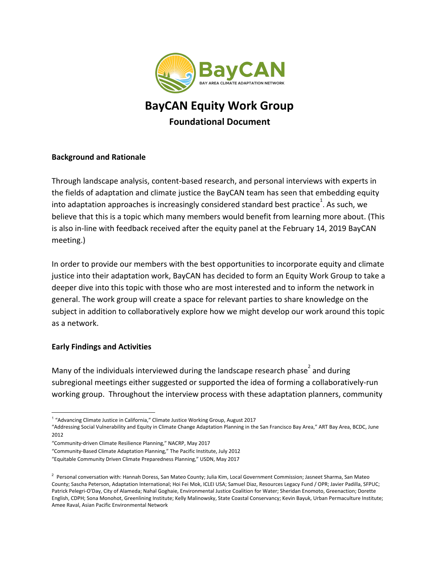

# **BayCAN Equity Work Group Foundational Document**

### **Background and Rationale**

Through landscape analysis, content-based research, and personal interviews with experts in the fields of adaptation and climate justice the BayCAN team has seen that embedding equity into adaptation approaches is increasingly considered standard best practice<sup>1</sup>. As such, we believe that this is a topic which many members would benefit from learning more about. (This is also in-line with feedback received after the equity panel at the February 14, 2019 BayCAN meeting.)

In order to provide our members with the best opportunities to incorporate equity and climate justice into their adaptation work, BayCAN has decided to form an Equity Work Group to take a deeper dive into this topic with those who are most interested and to inform the network in general. The work group will create a space for relevant parties to share knowledge on the subject in addition to collaboratively explore how we might develop our work around this topic as a network.

#### **Early Findings and Activities**

Many of the individuals interviewed during the landscape research phase and during subregional meetings either suggested or supported the idea of forming a collaboratively-run working group. Throughout the interview process with these adaptation planners, community

<sup>&</sup>lt;sup>1</sup> "Advancing Climate Justice in California," Climate Justice Working Group, August 2017

<sup>&</sup>quot;Addressing Social Vulnerability and Equity in Climate Change Adaptation Planning in the San Francisco Bay Area," ART Bay Area, BCDC, June 2012

<sup>&</sup>quot;Community-driven Climate Resilience Planning," NACRP, May 2017

<sup>&</sup>quot;Community-Based Climate Adaptation Planning," The Pacific Institute, July 2012

<sup>&</sup>quot;Equitable Community Driven Climate Preparedness Planning," USDN, May 2017

<sup>&</sup>lt;sup>2</sup> Personal conversation with: Hannah Doress, San Mateo County; Julia Kim, Local Government Commission; Jasneet Sharma, San Mateo County; Sascha Peterson, Adaptation International; Hoi Fei Mok, ICLEI USA; Samuel Diaz, Resources Legacy Fund / OPR; Javier Padilla, SFPUC; Patrick Pelegri-O'Day, City of Alameda; Nahal Goghaie, Environmental Justice Coalition for Water; Sheridan Enomoto, Greenaction; Dorette English, CDPH; Sona Monohot, Greenlining Institute; Kelly Malinowsky, State Coastal Conservancy; Kevin Bayuk, Urban Permaculture Institute; Amee Raval, Asian Pacific Environmental Network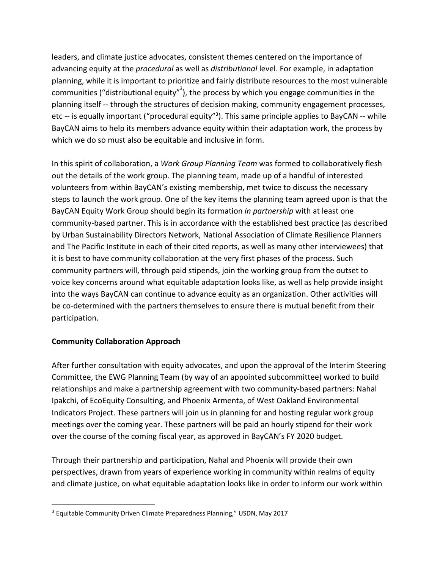leaders, and climate justice advocates, consistent themes centered on the importance of advancing equity at the *procedural* as well as *distributional* level. For example, in adaptation planning, while it is important to prioritize and fairly distribute resources to the most vulnerable communities ("distributional equity"<sup>3</sup>), the process by which you engage communities in the planning itself -- through the structures of decision making, community engagement processes, etc -- is equally important ("procedural equity"<sup>3</sup>). This same principle applies to BayCAN -- while BayCAN aims to help its members advance equity within their adaptation work, the process by which we do so must also be equitable and inclusive in form.

In this spirit of collaboration, a *Work Group Planning Team* was formed to collaboratively flesh out the details of the work group. The planning team, made up of a handful of interested volunteers from within BayCAN's existing membership, met twice to discuss the necessary steps to launch the work group. One of the key items the planning team agreed upon is that the BayCAN Equity Work Group should begin its formation *in partnership* with at least one community-based partner. This is in accordance with the established best practice (as described by Urban Sustainability Directors Network, National Association of Climate Resilience Planners and The Pacific Institute in each of their cited reports, as well as many other interviewees) that it is best to have community collaboration at the very first phases of the process. Such community partners will, through paid stipends, join the working group from the outset to voice key concerns around what equitable adaptation looks like, as well as help provide insight into the ways BayCAN can continue to advance equity as an organization. Other activities will be co-determined with the partners themselves to ensure there is mutual benefit from their participation.

## **Community Collaboration Approach**

After further consultation with equity advocates, and upon the approval of the Interim Steering Committee, the EWG Planning Team (by way of an appointed subcommittee) worked to build relationships and make a partnership agreement with two community-based partners: Nahal Ipakchi, of EcoEquity Consulting, and Phoenix Armenta, of West Oakland Environmental Indicators Project. These partners will join us in planning for and hosting regular work group meetings over the coming year. These partners will be paid an hourly stipend for their work over the course of the coming fiscal year, as approved in BayCAN's FY 2020 budget.

Through their partnership and participation, Nahal and Phoenix will provide their own perspectives, drawn from years of experience working in community within realms of equity and climate justice, on what equitable adaptation looks like in order to inform our work within

<sup>&</sup>lt;sup>3</sup> Equitable Community Driven Climate Preparedness Planning," USDN, May 2017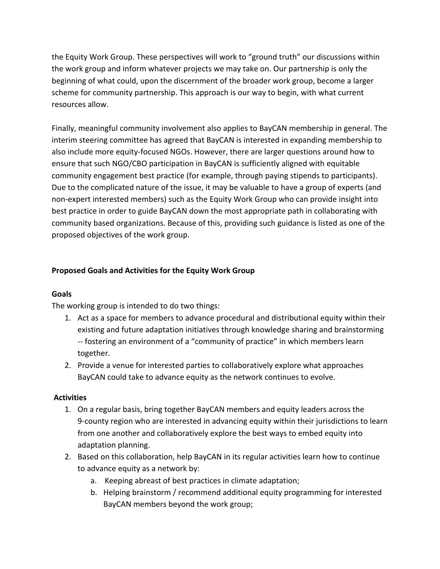the Equity Work Group. These perspectives will work to "ground truth" our discussions within the work group and inform whatever projects we may take on. Our partnership is only the beginning of what could, upon the discernment of the broader work group, become a larger scheme for community partnership. This approach is our way to begin, with what current resources allow.

Finally, meaningful community involvement also applies to BayCAN membership in general. The interim steering committee has agreed that BayCAN is interested in expanding membership to also include more equity-focused NGOs. However, there are larger questions around how to ensure that such NGO/CBO participation in BayCAN is sufficiently aligned with equitable community engagement best practice (for example, through paying stipends to participants). Due to the complicated nature of the issue, it may be valuable to have a group of experts (and non-expert interested members) such as the Equity Work Group who can provide insight into best practice in order to guide BayCAN down the most appropriate path in collaborating with community based organizations. Because of this, providing such guidance is listed as one of the proposed objectives of the work group.

## **Proposed Goals and Activities for the Equity Work Group**

## **Goals**

The working group is intended to do two things:

- 1. Act as a space for members to advance procedural and distributional equity within their existing and future adaptation initiatives through knowledge sharing and brainstorming -- fostering an environment of a "community of practice" in which members learn together.
- 2. Provide a venue for interested parties to collaboratively explore what approaches BayCAN could take to advance equity as the network continues to evolve.

## **Activities**

- 1. On a regular basis, bring together BayCAN members and equity leaders across the 9-county region who are interested in advancing equity within their jurisdictions to learn from one another and collaboratively explore the best ways to embed equity into adaptation planning.
- 2. Based on this collaboration, help BayCAN in its regular activities learn how to continue to advance equity as a network by:
	- a. Keeping abreast of best practices in climate adaptation;
	- b. Helping brainstorm / recommend additional equity programming for interested BayCAN members beyond the work group;